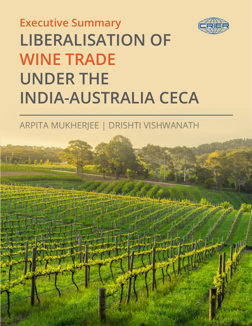

# **LIBERALISATION OF WINE TRADE UNDER THE INDIA-AUSTRALIA CECA Executive Summary**

## ARPITA MUKHERJEE | DRISHTI VISHWANATH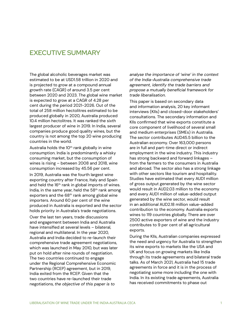## EXECUTIVE SUMMARY

The global alcoholic beverages market was estimated to be at USD1.58 trillion in 2020 and is projected to grow at a compound annual growth rate (CAGR) of around 3.5 per cent between 2020 and 2023. The global wine market is expected to grow at a CAGR of 4.28 per cent during the period 2021-2026. Out of the total of 258 million hectolitres estimated to be produced globally in 2020, Australia produced 10.4 million hectolitres. It was ranked the sixth largest producer of wine in 2019. In India, several companies produce good quality wines, but the country is not among the top 20 wine producing countries in the world.

Australia holds the  $10<sup>th</sup>$  rank globally in wine consumption. India is predominantly a whisky consuming market, but the consumption of wines is rising – between 2008 and 2018, wine consumption increased by 45.56 per cent.

In 2019, Australia was the fourth largest wine exporting country after France, Italy and Spain and held the 16<sup>th</sup> rank in global imports of wines. India, in the same year, held the  $58<sup>th</sup>$  rank among exporters and the 68<sup>th</sup> rank among global wine importers. Around 60 per cent of the wine produced in Australia is exported and the sector holds priority in Australia's trade negotiations.

Over the last ten years, trade discussions and engagement between India and Australia have intensified at several levels – bilateral, regional and multilateral. In the year 2020, Australia and India decided to re-launch their comprehensive trade agreement negotiations, which was launched in May 2010, but was later put on hold after nine rounds of negotiation. The two countries continued to engage under the Regional Comprehensive Economic Partnership (RCEP) agreement, but in 2019, India exited from the RCEP. Given that the two countries have re-launched their trade negotiations, *the objective of this paper is to* 

*analyse the importance of 'wine' in the context of the India-Australia comprehensive trade agreement, identify the trade barriers and propose a mutually beneficial framework for trade liberalisation*.

This paper is based on secondary data and information analysis, 20 key informant interviews (KIIs) and closed-door stakeholders' consultations. The secondary information and KIIs confirmed that wine exports constitute a core component of livelihood of several small and medium enterprises (SMEs) in Australia. The sector contributes AUD45.5 billion to the Australian economy. Over 163,000 persons are in full and part-time direct or indirect employment in the wine industry. This industry has strong backward and forward linkages – from the farmers to the consumers in Australia and abroad. The sector also has a strong linkage with other sectors like tourism and hospitality. Studies have estimated that every AUD1 million of gross output generated by the wine sector would result in AUD2.03 million to the economy and every AUD1 million of value-added output generated by the wine sector, would result in an additional AUD2.18 million value-added contribution to the economy. Australia exports wines to 119 countries globally. There are over 2500 active exporters of wine and the industry contributes to 9 per cent of all agricultural exports.

During the KIIs, Australian companies expressed the need and urgency for Australia to strengthen its wine exports to markets like the USA and UK and focus on growing markets like India through its trade agreements and bilateral trade talks. As of March 2021, Australia had 15 trade agreements in force and it is in the process of negotiating some more including the one with India. In its existing trade agreements, Australia has received commitments to phase out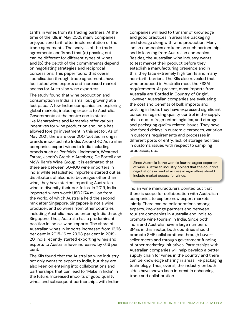tariffs in wines from its trading partners. At the time of the KIIs in May 2021, many companies enjoyed zero tariff after implementation of the trade agreements. The analysis of the trade agreements confirmed that (a) phasing out can be different for different types of wines and (b) the depth of the commitments depend on negotiating strategies and reciprocal concessions. This paper found that overall, liberalisation through trade agreements have facilitated wine exports and increased market access for Australian wine exporters.

The study found that wine production and consumption in India is small but growing at a fast pace. A few Indian companies are exploring global markets, including exports to Australia. Governments at the centre and in states like Maharashtra and Karnataka offer various incentives for wine production and India has allowed foreign investment in this sector. As of May 2021, there are over 200 'bottled in origin' brands imported into India. Around 40 Australian companies export wines to India including brands such as Penfolds, Lindeman's, Westend Estate, Jacob's Creek, d'Arenberg, De Bortoli and McWilliam's Wine Group. It is estimated that there are between 50-100 wine importers in India; while established importers started out as distributors of alcoholic beverages other than wine, they have started importing Australian wine to diversify their portfolios. In 2019, India imported wines worth USD21.74 million from the world, of which Australia held the second rank after Singapore. Singapore is not a wine producer, and so wines from other countries including Australia may be entering India through Singapore. Thus, Australia has a predominant position in India's wine imports. The share of Australian wines in imports increased from 16.26 per cent in 2015-16 to 23.98 per cent in 2019- 20. India recently started exporting wines and exports to Australia have increased by 6.16 per cent.

The KIIs found that the Australian wine industry not only wants to export to India, but they are also keen on entering into collaborations and partnerships that can lead to "Make in India" in the future. Increased imports of good quality wines and subsequent partnerships with Indian companies will lead to transfer of knowledge and good practices in areas like packaging and storage along with wine production. Many Indian companies are keen on such partnerships and in learning from Australian companies. Besides, the Australian wine industry wants to test market their product before they establish a manufacturing presence and in this, they face extremely high tariffs and many non-tariff barriers. The KIIs also revealed that wine produced in Australia meet the FSSAI requirements. At present, most imports from Australia are 'Bottled in Country of Origin'. However, Australian companies are evaluating the cost and benefits of bulk imports and bottling in India; they have expressed significant concerns regarding quality control in the supply chain due to fragmented logistics, and storage and packaging quality related issues. They have also faced delays in custom clearances, variation in customs requirements and processes in different ports of entry, lack of storage facilities in customs, issues with respect to sampling processes, etc.

Since Australia is the world's fourth-largest exporter of wine, Australian industry opined that the country's negotiations in market access in agriculture should include market access for wines.

Indian wine manufacturers pointed out that there is scope for collaboration with Australian companies to explore new export markets jointly. There can be collaborations among experts, knowledge partners and between tourism companies in Australia and India to promote wine tourism in India. Since both India and Australia have a large number of SMEs in this sector, both countries should promote SME collaborations through buyerseller meets and through government funding of other marketing initiatives. Partnerships with Australian companies will help develop a better supply chain for wines in the country and there can be knowledge sharing in areas like packaging technology. Thus, overall, the industry on both sides have shown keen interest in enhancing trade and collaboration.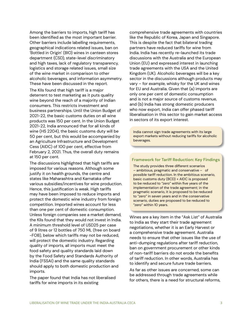Among the barriers to imports, high tariff has been identified as the most important barrier. Other barriers include labelling requirements, geographical indications related issues, ban on 'Bottled in Origin' (BIO) wines in canteen stores department (CSD), state-level discriminatory and high taxes, lack of regulatory transparency, logistics and storage related issues, small size of the wine market in comparison to other alcoholic beverages, and information asymmetry. These have been discussed in the report.

The KIIs found that high tariff is a major deterrent to test marketing as it puts quality wine beyond the reach of a majority of Indian consumers. This restricts investment and business partnerships. Until the Union Budget of 2021-22, the basic customs duties on all wine products was 150 per cent. In the Union Budget 2021-22, India announced that for all kinds of wine (HS 2204), the basic customs duty will be 50 per cent, but this would be accompanied by an Agriculture Infrastructure and Development Cess (AIDC) of 100 per cent, effective from February 2, 2021. Thus, the overall duty remains at 150 per cent.

The discussions highlighted that high tariffs are imposed for various reasons. Although some justify it on health grounds, the centre and states like Maharashtra and Karnataka offer various subsidies/incentives for wine production. Hence, this justification is weak. High tariffs may have been imposed to reduce imports and protect the domestic wine industry from foreign competition. Imported wines account for less than one per cent of domestic consumption. Unless foreign companies see a market demand, the KIIs found that they would not invest in India. A minimum threshold level of USD25 per case of 9 litres or 12 bottles of 750 ML (free on board -FOB), below which tariffs may not be reduced, will protect the domestic industry. Regarding quality of imports, all imports must meet the food safety and quality standards laid down by the Food Safety and Standards Authority of India (FSSAI) and the same quality standards should apply to both domestic production and imports.

The paper found that India has not liberalised tariffs for wine imports in its existing

comprehensive trade agreements with countries like the Republic of Korea, Japan and Singapore. This is despite the fact that bilateral trading partners have reduced tariffs for wine from India. India has recently re-launched its trade discussions with the Australia and the European Union (EU) and expressed interest in launching trade agreements with the USA and the United Kingdom (UK). Alcoholic beverages will be a key sector in the discussions although products may vary – for example, whisky for the UK and wines for EU and Australia. Given that (a) imports are only one per cent of domestic consumption and is not a major source of customs revenue, and (b) India has strong domestic producers who now export, India can offer phased tariff liberalisation in this sector to gain market access in sectors of its export interest.

India cannot sign trade agreements with its large export markets without reducing tariffs for alcoholic beverages.

#### **Framework for Tariff Reduction: Key Findings**

The study provides three different scenarios – ambitious, pragmatic and conservative – of possible tariff reduction. In the ambitious scenario, basic customs duty (BCD) + AIDC is proposed to be reduced to "zero" within five years of the implementation of the trade agreement; in the pragmatic scenario, it is proposed to be reduced to "zero" in seven years and in the conservative scenario, duties are proposed to be reduced to "zero" within 10 years.

Wines are a key item in the "Ask List" of Australia to India as they start their trade agreement negotiations, whether it is an Early Harvest or a comprehensive trade agreement. Australia needs to ensure that other issues like the use of anti-dumping regulations after tariff reduction, ban on government procurement or other kinds of non-tariff barriers do not erode the benefits of tariff reduction. In other words, Australia has to identify and secure future trade barriers.

As far as other issues are concerned, some can be addressed through trade agreements while for others, there is a need for structural reforms,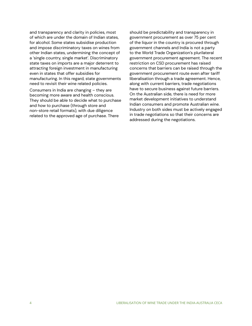and transparency and clarity in policies, most of which are under the domain of Indian states, for alcohol. Some states subsidise production and impose discriminatory taxes on wines from other Indian states, undermining the concept of a 'single country, single market'. Discriminatory state taxes on imports are a major deterrent to attracting foreign investment in manufacturing even in states that offer subsidies for manufacturing. In this regard, state governments need to revisit their wine related policies. Consumers in India are changing – they are becoming more aware and health conscious. They should be able to decide what to purchase and how to purchase (through store and non-store retail formats), with due diligence related to the approved age of purchase. There

should be predictability and transparency in government procurement as over 75 per cent of the liquor in the country is procured through government channels and India is not a party to the World Trade Organization's plurilateral government procurement agreement. The recent restriction on CSD procurement has raised concerns that barriers can be raised through the government procurement route even after tariff liberalisation through a trade agreement. Hence, along with current barriers, trade negotiations have to secure business against future barriers. On the Australian side, there is need for more market development initiatives to understand Indian consumers and promote Australian wine. Industry on both sides must be actively engaged in trade negotiations so that their concerns are addressed during the negotiations.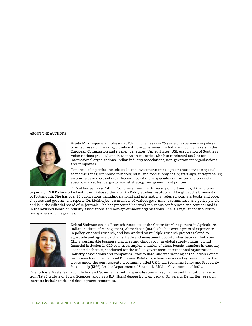#### ABOUT THE AUTHORS



**Arpita Mukherjee** is a Professor at ICRIER. She has over 25 years of experience in policyoriented research, working closely with the government in India and policymakers in the European Commission and its member states, United States (US), Association of Southeast Asian Nations (ASEAN) and in East Asian countries. She has conducted studies for international organizations, Indian industry associations, non-government organisations and companies.

Her areas of expertise include trade and investment; trade agreements; services; special economic zones; economic corridors; retail and food supply chain; start-ups, entrepreneurs; e-commerce and cross-border labour mobility. She specialises in sector and productspecific market trends, go-to market strategy, and government policies.

Dr Mukherjee has a PhD in Economics from the University of Portsmouth, UK, and prior to joining ICRIER she worked with the UK-based think tank - Policy Studies Institute and taught at the University of Portsmouth. She has over 80 publications including national and international referred journals, books and book chapters and government reports. Dr. Mukherjee is a member of various government committees and policy panels and is in the editorial board of 10 journals. She has presented her work in various conferences and seminar and is in the advisory board of industry associations and non-government organisations. She is a regular contributor to newspapers and magazines.



**Drishti Vishwanath** is a Research Associate at the Centre for Management in Agriculture, Indian Institute of Management, Ahmedabad (IIMA). She has over 2 years of experience in policy-oriented research, and has worked on multiple research projects related to agri-trade and agri-value chains, trade and investment opportunities between India and China, sustainable business practices and child labour in global supply chains, digital financial inclusion in G20 countries, implementation of direct benefit transfers in centrally sponsored schemes, conducted for the Indian government, international organizations, industry associations and companies. Prior to IIMA, she was working at the Indian Council for Research on International Economic Relations, where she was a key researcher on G20 issues under the joint capacity programme titled UK-India Economic Policy and Prosperity Partnership (EPPP) for the Department of Economic Affairs, Government of India.

Drishti has a Master's in Public Policy and Governance, with a specialisation in Regulation and Institutional Reform from Tata Institute of Social Sciences, and has a B.A (Hons) degree from Ambedkar University, Delhi. Her research interests include trade and development economics.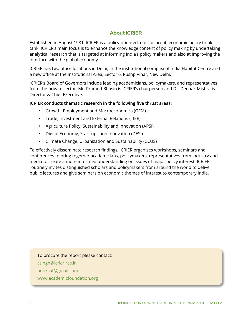## **About ICRIER**

Established in August 1981, ICRIER is a policy-oriented, not-for-profit, economic policy think tank. ICRIER's main focus is to enhance the knowledge content of policy making by undertaking analytical research that is targeted at informing India's policy makers and also at improving the interface with the global economy.

ICRIER has two office locations in Delhi; in the institutional complex of India Habitat Centre and a new office at the Institutional Area, Sector 6, Pushp Vihar, New Delhi.

ICRIER's Board of Governors include leading academicians, policymakers, and representatives from the private sector. Mr. Pramod Bhasin is ICRIER's chairperson and Dr. Deepak Mishra is Director & Chief Executive.

### **ICRIER conducts thematic research in the following five thrust areas:**

- Growth, Employment and Macroeconomics (GEM)
- Trade, Investment and External Relations (TIER)
- Agriculture Policy, Sustainability and Innovation (APSI)
- Digital Economy, Start-ups and Innovation (DESI)
- Climate Change, Urbanization and Sustainability (CCUS)

To effectively disseminate research findings, ICRIER organises workshops, seminars and conferences to bring together academicians, policymakers, representatives from industry and media to create a more informed understanding on issues of major policy interest. ICRIER routinely invites distinguished scholars and policymakers from around the world to deliver public lectures and give seminars on economic themes of interest to contemporary India.

#### To procure the report please contact:

- csingh@icrier.res.in
- booksaf@gmail.com
- www.academicfoundation.org